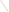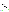# **Environmental Technology Verification Program** Advanced Monitoring Systems Center

Test/QA Plan for Verification of Ambient Hydrogen Sulfide Analyzers at a Swine Finishing Farm

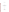# **TEST/QA PLAN**

for

# Verification of Ambient Hydrogen Sulfide Analyzers at a Swine Finishing Farm

**April 12, 2005** 

**Prepared by** 

**Battelle 505 King Avenue Columbus, OH 43201-2693**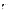#### **A2 TABLE OF CONTENTS**

| $\mathbf{A}$   | PROJECT MANAGEMENT                                         |  |
|----------------|------------------------------------------------------------|--|
| A <sub>1</sub> |                                                            |  |
| A2             |                                                            |  |
| A <sub>3</sub> |                                                            |  |
| A <sub>4</sub> |                                                            |  |
| A <sub>5</sub> |                                                            |  |
| A6             |                                                            |  |
| A7             |                                                            |  |
| A8             |                                                            |  |
| A <sup>9</sup> |                                                            |  |
|                |                                                            |  |
| B              | MEASUREMENT AND DATA ACQUISITION                           |  |
| B1             |                                                            |  |
| B2             |                                                            |  |
| B <sub>3</sub> |                                                            |  |
| <b>B4</b>      |                                                            |  |
| B <sub>5</sub> |                                                            |  |
| <b>B6</b>      |                                                            |  |
| B7             |                                                            |  |
| <b>B8</b>      |                                                            |  |
| <b>B9</b>      |                                                            |  |
| <b>B10</b>     |                                                            |  |
| $\mathcal{C}$  | ASSESSMENT AND OVERSIGHT                                   |  |
| C <sub>1</sub> |                                                            |  |
| C2             |                                                            |  |
|                |                                                            |  |
| D              | DATA VALIDATION AND USABILITY                              |  |
| D <sub>1</sub> | Data Review, Validation, and Verification Requirements  45 |  |
| D2             |                                                            |  |
| D <sub>3</sub> |                                                            |  |
|                |                                                            |  |
| E              |                                                            |  |
|                |                                                            |  |
|                |                                                            |  |

#### Section Page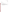# **List of Figures** Page

# List of Tables

| Table 1 |                                                                                     |  |
|---------|-------------------------------------------------------------------------------------|--|
| Table 2 |                                                                                     |  |
| Table 3 |                                                                                     |  |
| Table 4 | Approximate H <sub>2</sub> S Concentrations and Order for Multi-point Challenges 25 |  |
| Table 5 | Interferants and Approximate Concentrations for Interference Checks  26             |  |
| Table 6 | Reference Method Quality Control Requirements and Target Acceptance                 |  |
|         |                                                                                     |  |
| Table 7 |                                                                                     |  |
|         |                                                                                     |  |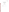# ETV Advanced Monitoring Systems Center

Test/QA Plan for Verification of Ambient Hydrogen Sulfide Analyzers at a Swine Finishing Farm

Version 1.0

April 12, 2005

VENDOR ACCEPTANCE:

Name

Company \_\_\_\_\_\_\_\_\_\_\_\_\_\_\_\_\_\_\_\_\_\_\_\_\_\_\_\_\_\_\_

Date \_\_\_\_\_\_\_\_\_\_\_\_\_\_\_\_\_\_\_\_\_\_\_\_\_\_\_\_\_\_\_\_\_\_\_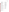#### **A3 DISTRIBUTION LIST**

Hydrogen Sulfide Analyzer Vendor Mr. Bill Taylor Teledyne Instruments API 3318 Hwy. 5, PMB 526 Douglasville, GA 30135

Hydrogen Sulfide Analyzer Vendor Mr. Dick Bates Horiba Instruments, Inc. 17671 Armstrong Avenue Irvine, CA 92614

Ms. Elizabeth A. Betz U.S. Environmental Protection Agency-**HEASD** National Exposure Research Laboratory E205-01 USEPA Mailroom Research Triangle Park, NC 27711

Mr. Robert Fuerst U.S. Environmental Protection Agency-**HEASD** National Exposure Research Laboratory D205-05 USEPA Mailroom Research Triangle Park, NC 27711

Dr. Gary Norris U.S. Environmental Protection Agency-**HEASD** National Exposure Research Laboratory D205-03 USEPA Mailroom Research Triangle Park, NC 27711

Peer Reviewers: Dr. Raul Dominguez, Jr. South Coast Air Quality Management District 21865 Copley Drive Diamond Bar, CA 91765

Dr. D. Bruce Harris U.S. Environmental Protection Agency-NRMRL E343-02 EPA Mailroom 109 TW Alexander Drive Research Triangle Park, NC 27711

Dr. William M. Ollison American Petroleum Institute 1220 L St., NW Washington, DC 20005

Verification Test Collaborators: Dr. Jerry Hatfield Mr. Richard Pfeiffer U.S. Department of Agriculture National Soil Tilth Laboratory 2150 Pammel Drive Ames, IA 50011-4420

Dr. Eric Winegar Applied Measurement Science 4764 Concord Drive Fair Oaks, CA 95628

Ms. Karen Riggs Dr. Ann Louise Sumner Ms. Amy Dindal Mr. Zachary Willenberg Battelle 505 King Ave. Columbus, OH 43201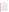#### **SECTION A**

#### **PROJECT MANAGEMENT**

#### **A4 VERIFICATION TEST ORGANIZATION**

The verification test will be conducted under the auspices of the U.S. Environmental Protection Agency (EPA) through the Environmental Technology Verification (ETV) Program. It will be performed by Battelle, which is managing the ETV Advanced Monitoring Systems (AMS) Center through a cooperative agreement with EPA. The scope of the AMS Center covers verification of monitoring technologies for contaminants and natural species in air, water, and soil.

The day to day operations of this verification test will be coordinated and supervised by Battelle personnel, with the participation of the vendors who will be having the performance of their hydrogen sulfide  $(H, S)$  analyzers verified. The testing will be conducted at a large swine finishing farm near Ames, Iowa in collaboration with the U.S. Department of Agriculture National Soil Tilth Laboratory (USDA-NSTL) and Applied Measurement Science, which is a private consulting company located in Fair Oaks, California. Staff from the USDA will support this test by helping to install the analyzers to be tested, providing infrastructure at the test site, overseeing operation of the analyzers during periods of routine operation, and performing reference method sample collection and analysis. Applied Measurement Science, who will be operating with funding from the American Petroleum Institute, will provide reference method sampling and analysis. ASTM method  $D5504-01<sup>1</sup>$  will be used as the reference method with the following substitution: pulsed flame photometric detection (PFPD) will be used instead of sulfur chemiluminescence detection (SCD). Reference H<sub>2</sub>S measurements in ambient air will be carried out by both USDA-NSTL and Applied Measurement Science using gas chromatography (GC) with PFPD, but will differ in the sample collection method. Each analyzer vendor will install their respective analyzer, operate the analyzer through portions of the test (unless they give written consent for Battelle staff to operate it), and repair or maintain their analyzer during the test. Quality Assurance (QA) oversight will be provided by the Battelle Quality Manager and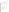also by the EPA AMS Center Quality Manager, at her discretion. The organization chart in Figure 1 identifies the responsibilities of the organizations and individuals associated with the verification test. Roles and responsibilities are defined further below.



**Figure 1. Organization Chart**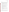#### **A4.1 Battelle**

Dr. Ann Louise Sumner is the AMS Center's Verification Test Coordinator for this test. In this role, Dr. Sumner will have overall responsibility for ensuring that the technical, schedule, and cost goals established for the verification test are met. Specifically, Dr. Sumner will:

- Prepare the draft test/QA plan, verification reports, and verification statements.
- Revise the draft test/QA plan, verification reports, and verification statements in response to reviewers' comments.
- C Assemble a team of qualified technical staff to conduct the verification test.
- C Establish a budget for the verification test and manage staff to ensure the budget is not exceeded.
- C Direct the team (Battelle, USDA, and Applied Measurement Science staff) in performing the verification test in accordance with this test/QA plan.
- C Ensure that all quality procedures specified in the test/QA plan and in the AMS Center Quality Management Plan<sup>2</sup> (QMP) are followed.
- Serve as the primary point of contact for vendor representatives.
- C Ensure that confidentiality of sensitive vendor information is maintained.
- C Assist vendors and USDA staff as needed during the analyzer installation and verification testing.
- C Become familiar with the operation and maintenance of the  $H<sub>2</sub>S$  analyzers through instruction by the vendors, if needed.
- C Perform testing activities and data acquisition as specified in this test/QA plan.
- Respond to any issues raised in assessment reports and audits, including instituting corrective action as necessary.
- Coordinate distribution of the final test/QA plan, verification reports, and verification statements.

Ms. Amy Dindal is a Verification Testing Leader for the AMS Center. As such, Ms. Dindal will provide technical guidance and oversee the various stages of verification testing. She will:

• Support Dr. Sumner in preparing the test/QA plan and organizing the testing.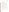- Review the draft and final test/QA plan.
- Review the draft and final verification reports and verification statements.

Ms. Karen Riggs is Battelle's manager for the AMS Center. Ms. Riggs will

- C Review the draft and final test/QA plan.
- C Review the draft and final verification reports and verification statements.
- C Ensure that necessary Battelle resources, including staff and facilities, are committed to the verification test.
- C Ensure that confidentiality of sensitive vendor information is maintained.
- C Support Dr. Sumner in responding to any issues raised in assessment reports and audits.
- C Maintain communication with EPA's technical and quality managers.
- C Issue a stop work order if Battelle or EPA QA staff discovers adverse findings that will compromise test results.

Battelle Technical Staff will support Dr. Sumner in planning and conducting the verification test. The responsibilities of the technical staff will be to:

- C Assist in planning for the test, and making arrangements for the installation of the analyzers.
- C Perform statistical calculations specified in this test/QA plan on the  $H_2S$  analyzer data as needed.
- C Provide results of statistical calculations and associated discussion for the verification reports as needed.
- C Support Dr. Sumner in responding to any issues raised in assessment reports and audits related to statistics and data reduction as needed.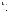Mr. Zachary Willenberg is Battelle's Quality Manager for the AMS Center. Mr.

Willenberg will:

- C Review the draft and final test/QA plan.
- C Conduct a technical systems audit once during the verification test, or designate other QA staff to conduct the audit.
- C Audit at least 10% of the verification data.
- C Prepare and distribute an assessment report for each audit.
- C Verify implementation of any necessary corrective action.
- C Request that Battelle's AMS Center Manager issue a stop work order if audits indicate that data quality is being compromised.
- C Provide a summary of the QA/QC activities and results for the verification reports.
- C Review the draft and final verification reports and verification statements.
- C Assume overall responsibility for ensuring that the test/QA plan is followed.

# **A4.2 Hydrogen Sulfide Analyzer Vendors**

The responsibilities of the H<sub>2</sub>S analyzer vendors are as follows:

- C Review and provide comments on the draft test/QA plan.
- C Accept (by signature of a company representative) the final test/QA plan prior to test initiation (see page 4).
- C Provide an  $H_2S$  analyzer for evaluation during the verification test.
- C Provide all other equipment/supplies/reagents/consumables needed to operate their analyzer for the duration of the verification test.
- C Supply a representative to install and maintain their technology, and to operate it in portions of the test specified in this test/QA plan, or provide written consent and instructions for Battelle and USDA staff to carry out these activities.
- C Provide written instructions for routine operation of their analyzers, including a daily checklist of diagnostic and/or maintenance activities.
- C Provide maintenance and repair support for their analyzers, on-site if necessary, throughout the duration of the verification test.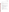C Review and provide comments on the draft verification report and statement for their respective analyzers.

# **A4.3 EPA**

EPA's responsibilities in the AMS Center are based on the requirements stated in the "Environmental Technology Verification Program Quality Management Plan" (EPA QMP).<sup>3</sup> The roles of specific EPA staff are as follows:

Ms. Elizabeth Betz is EPA's AMS Center Quality Manager. For the verification test, Ms. Betz will:

- C Review the draft test/QA plan.
- C Perform at her option one external technical systems audit during the verification test.
- C Notify the EPA AMS Center Manager of the need for a stop work order if the external audit indicates that data quality is being compromised.
- C Prepare and distribute an assessment report summarizing results of the external audit.
- C Review draft verification reports and verification statements.

Mr. Robert Fuerst is EPA's manager for the AMS Center. Mr. Fuerst will:

- C Review the draft test/QA plan.
- C Approve the final test/QA plan.
- C Review the draft verification reports and verification statements.
- C Oversee the EPA review process for the test/QA plan, verification reports, and verification statements.
- C Coordinate the submission of verification reports and verification statements for final EPA approval.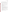# **A4.4 U.S. Department of Agriculture National Soil Tilth Laboratory**

This test will be conducted in collaboration with the USDA-NSTL, who will provide inkind support for this test. The responsibilities of personnel from the USDA-NSTL include the following:

- C Coordinate use of the test site for the purposes of ETV testing, assuring access to the test site for Battelle, USDA-NSTL, Applied Measurement Science, EPA, and vendor representatives.
- C Support the test by providing space and needed utilities (e.g., instrument trailer, electricity, compressed and cryogenic gases) for the H<sub>2</sub>S analyzers and reference methods during testing.
- C Assist Battelle and vendor staff in the installation, operation, testing, and removal of the  $H_2S$  analyzers at the test site.
- C Plan and perform reference  $H_2S$  sampling and analysis.
- C Perform testing activities and data acquisition on the  $H_2S$  analyzers specified in this test/QA plan.
- C Collect basic meteorological data (e.g., wind speed, wind direction, temperature, and relative humidity) at the test site during the field period
- C Calculate the H<sub>2</sub>S reference results in terms of ambient H<sub>2</sub>S concentrations and provide a data package to Battelle that includes all sampling data sheets, analysis records, calibration data, and QA information, and that presents the  $H<sub>2</sub>S$  sample analysis results, QA results, and calculated ambient H<sub>2</sub>S concentrations as well as the recorded meteorological data.
- C Provide daily oversight of the  $H<sub>2</sub>S$  analyzers during periods of routine operation, checking diagnostic indicators according to vendor directions and contacting Battelle if faults in analyzer operation are observed.
- $C$  Record observations about the maintenance and operation of the H<sub>2</sub>S analyzers during the field period.
- C Review the draft verification reports, and verification statements.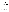#### **A4.5 Applied Measurement Science**

Dr. Eric Winegar of Applied Measurement Science will be providing in-kind support on this test, with support from the American Petroleum Institute. The responsibilities of Dr. Winegar include the following:

- C Perform on-site reference  $H_2S$  measurements and conduct QA efforts as specified in this test/QA plan.
- C Calculate the H<sub>2</sub>S reference results in terms of ambient H<sub>2</sub>S concentrations and provide a data package to Battelle that includes all sampling data sheets, analysis records, calibration data, and QA information, and that presents the  $H<sub>2</sub>S$  sample analysis results, QA results, and calculated ambient H<sub>2</sub>S concentrations.
- C Review that portion of the verification reports that describes the in-situ reference method and analysis.

#### **A5 BACKGROUND**

The ETV Program's AMS Center conducts third-party performance testing of commercially available technologies that detect or monitor natural species or contaminants in air, water, and soil. Stakeholder committees of buyers and users of such technologies recommend technology categories, and technologies within those categories, as priorities for testing. Hydrogen sulfide analyzers were identified as a priority technology category through the AMS Center stakeholder process.

Hydrogen sulfide is formed at animal feeding operations (AFOs) during the bacterial decomposition of sulfur-containing organic compounds present in manure produced by livestock. Also known as sewer gas, H<sub>2</sub>S has the characteristic odor of rotten eggs and, at high levels, can cause death from even brief exposure. Ambient  $H<sub>2</sub>S$  concentrations at swine farms, for example, are expected to range from sub-part per billion (ppb) concentrations to 100 ppb or more.<sup>4</sup> Ammonia and volatile organic compounds (VOCs) are also produced from bacterial processing of livestock waste and are likely to be present in significant concentrations at AFOs.<sup>5, 6</sup>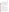The National Academy of Sciences 2003 report, "Air Emissions from Animal Feeding Operations,"6 identified the need for need for improved methods for measuring and estimating air emissions from animal feeding operations (AFO), including emissions of  $H<sub>2</sub>S$ . The analytical approach of the H<sub>2</sub>S analyzers that will be evaluated in this verification test has been identified for use in the National Air Emissions Monitoring Study Protocol that will be used to conduct measurements of emissions from AFOs as directed by the U.S. EPA Animal Feeding Operations Consent Agreement.<sup>7</sup> The data collected as a result of the monitoring study will be used to ensure compliance of AFOs with applicable provisions of the Clean Air Act, Comprehensive Environmental Response, Compensation and Liability Act (CERCLA), and Environmental Planning and Community Right-to-Know Act (EPCRA) and to promote a national consensus on methods for estimating AFO emissions. In addition to this federal effort, several states, including Iowa, California, and North Carolina, have developed or are developing standards for ambient  $H_2S$ .

#### **A6 VERIFICATION TEST DESCRIPTION AND SCHEDULE**

#### **A6.1 Summary of Technology Category**

The analyzers to be tested in this verification test are single point analyzers designed for quantifying gas phase  $H_2S$  in ambient air. The analyzers will be tested in the range of  $H_2S$ mixing ratios expected at a large AFO, in this case a swine finishing farm, and must be capable of H2S quantification at low (5-20) ppb levels. A number of analytical techniques have been employed by vendors of H<sub>2</sub>S analyzers, and include electrochemical detection, chromatography with sulfur chemiluminescence, oxidation of H<sub>2</sub>S followed by ultra-violet (UV) sulfur dioxide  $(SO<sub>2</sub>)$  fluorescence, and others.

The analyzers that will be evaluated in this verification test are stand-alone, automated instruments that continuously determine  $H_2S$  concentrations in ambient air by oxidizing  $H_2S$  in the air sample to  $SO_2$ , which is detected using UV fluorescence. The analyzers draw ambient air into the unit at flow rates less than one liter per minute, passing the air through a scrubber to remove  $SO_2$  from the air. The H<sub>2</sub>S remaining in the sample is oxidized to  $SO_2$  in a catalytic converter maintained at approximately 300EC. The  $SO<sub>2</sub>$  produced from the conversion is then detected by UV fluorescence. Both analyzers can be configured to measure both  $H_2S$  and  $SO_2$ ,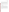alternating between the two at user-specified intervals. Optional features include on-board  $H_2S$ or SO<sub>2</sub> permeation tubes and/or valves for zero air and span gases, which allow for automated zero and span checks. Results from multi-point H<sub>2</sub>S calibrations are stored internally and used to determine the  $H_2S$  concentration in ambient air in units of ppb or parts per million (ppm), depending on the selected analyzer range. Although data are collected continuously, averages at specified intervals (e.g., 3 minutes) are calculated internally and relayed to analog and other data outputs (e.g., RS-232 or ethernet).

In performing the verification test, Battelle will follow the technical and QA procedures specified in this test/QA plan and will comply with the data quality requirements in the AMS Center QMP.2

#### **A6.2 Verification Schedule**

Table 1 shows the planned schedule of activities in field testing and data analysis/reporting in this verification test. As shown in Table 1, the field test of H<sub>2</sub>S analyzers is planned to begin in April 2005 with installation of the analyzers at the swine finishing farm, and to extend into May 2005. The period of operation of the analyzers at the facility will be approximately 5 weeks, during which time the analyzers will monitor and record  $H_2S$  in the ambient air at the test site. Periodically over the duration of the field period, the analyzers will be challenged with H<sub>2</sub>S and other compressed gas standards. Measurements will also be conducted using two H<sub>2</sub>S reference methods during the field period. Subsequent to the field testing, a separate verification report will be drafted for each analyzer, reviewed, revised, and submitted to EPA for final signature.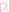| <b>Month</b> | <b>Test Activity</b>                                                                                                                               |                                                                                                                                                                                                                                                                 |  |  |
|--------------|----------------------------------------------------------------------------------------------------------------------------------------------------|-----------------------------------------------------------------------------------------------------------------------------------------------------------------------------------------------------------------------------------------------------------------|--|--|
| (2005)       | <b>Analyzer Field Activities</b>                                                                                                                   | <b>Data Analysis and Reporting</b>                                                                                                                                                                                                                              |  |  |
| April        | Set up/install $H_2S$ analyzers<br>Analyzer training by vendors<br>$H2S$ standard gas challenges<br>$H_2S$ reference sampling<br>Routine operation | Begin preparation of report template<br>Analyze H <sub>2</sub> S reference samples<br>Compile data from H <sub>2</sub> S gas challenges                                                                                                                         |  |  |
| May          | $H2S$ standard gas challenges<br>Interferant challenges<br>$H2S$ reference sampling<br>Routine operation<br>Remove analyzers from test site        | Review and summarize operator observations<br>Compile data from H <sub>2</sub> S gas challenges<br>Compile data from interferant challenges<br>Analyze H <sub>2</sub> S reference samples<br>Compile data packages for reference methods                        |  |  |
| June         |                                                                                                                                                    | Complete summary of operator observations<br>Finalize data from all gas challenges<br>Finalize results for reference methods<br>Complete common sections of reports<br>Complete report sections on $H_2S$ and other<br>gas challenges and operator observations |  |  |
| July         |                                                                                                                                                    | Complete report sections on reference method<br>comparisons<br>Internal review of draft reports<br>Vendor review of draft reports                                                                                                                               |  |  |
| August       |                                                                                                                                                    | Revision of draft reports<br>Peer review of draft reports                                                                                                                                                                                                       |  |  |
| September    |                                                                                                                                                    | Revision of draft reports<br>Submission of final reports for EPA approval                                                                                                                                                                                       |  |  |

#### **Table 1. Planned Verification Schedule**

Table 2 shows the activities to be conducted in each week of the test during the field period in April and May, 2005. The test procedures are described in Section B of this test/QA plan. Repeated challenges with zero air and H2S gas standards will be conducted early in the field period to obtain the analyzer "baseline" responses and the analyzer response time. The same challenges with zero air and H<sub>2</sub>S gas standards will be conducted twice each week to address analyzer span and zero drift. Multi-point challenges with H<sub>2</sub>S gas standards will be conducted once early in the field period and again late in the field period to address analyzer measurement accuracy, bias, precision, and linearity. Once during the field period, the analyzers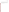will be challenged with gas standards of sulfur-containing species to evaluate analyzer interference effects. Reference method sampling will be conducted throughout the field period for comparison to the analyzer response to ambient air. In substantial portions of the field period, the analyzers will routinely monitor ambient  $H_2S$  to allow assessment of operational factors and data completeness under continuous operation.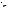| Week of<br>(Planned Month<br>and Day, 2005) | <b>Test Activities</b>                                                                                                                                                                                                                                                                                                                                           |
|---------------------------------------------|------------------------------------------------------------------------------------------------------------------------------------------------------------------------------------------------------------------------------------------------------------------------------------------------------------------------------------------------------------------|
| April 11                                    | $\mathsf C$<br>Install $H_2S$ analyzers<br>$\mathsf C$<br>Establish inlet connections<br>$\mathsf C$<br>Training of USDA and Battelle staff by vendor representatives<br>$\mathsf{C}$<br>Conduct trial operations                                                                                                                                                |
| April 18                                    | $\mathcal{C}$<br>Zero air/H <sub>2</sub> S standard challenge for analyzer response (baseline) and<br>analyzer response time<br>H <sub>2</sub> S standard challenges for linearity, accuracy, bias, precision<br>C<br>$\mathsf C$<br>One zero/span check<br>$\mathsf C$<br>Two USDA reference samples collected and analyzed<br>$\mathsf C$<br>Routine operation |
| April 25                                    | C<br>Two zero/span checks<br>$\mathsf C$<br>Two USDA reference samples collected and analyzed<br>$\mathsf C$<br>Install Applied Measurement Science reference method at test site<br>$\mathsf C$<br>Begin Applied Measurement Science reference method measurements<br>$\mathcal{C}$<br>Routine operation                                                        |
| May 2                                       | $\mathsf C$<br>Continue/complete Applied Measurement Science reference method<br>measurements<br>Two zero/span checks<br>С<br>С<br>Two USDA reference samples collected and analyzed<br>$\mathsf{C}$<br>Routine operation                                                                                                                                        |
| May 9                                       | $\mathsf C$<br>Demobilize Applied Measurement Science reference method analyzer<br>$\mathsf C$<br>Two zero/span checks<br>$\mathsf C$<br>Two USDA reference samples collected and analyzed<br>$\mathsf C$<br>Gas standard challenges for interference check<br>$\mathcal{C}$<br>Routine operation                                                                |
| May 16                                      | $\mathsf C$<br>Two zero/span checks<br>$\mathsf C$<br>Two USDA reference samples collected and analyzed<br>C<br>$H2S$ standard challenges for linearity, accuracy, bias, precision<br>$\mathcal{C}$<br>Routine operation                                                                                                                                         |
| May 23                                      | $\mathcal{C}$<br>Remove analyzers from test site                                                                                                                                                                                                                                                                                                                 |

#### **Table 2. Planned Weekly Test Activities During the Field Period**

#### **A6.3 Test Site**

This verification test will take place at a large swine finishing farm near Ames, Iowa. The layout of the farm is shown in Figure 2. The farm has ten animal barns arranged in two parallel rows of five, with each barn housing up to 2,000 swine. The overall test schedule shown in Table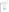1 (Section A6.2) begins approximately six weeks after the farm will be populated by feeder pigs. The urine and feces from the swine exit the barns through metal gratings in the floor and are deposited in two nutrient lagoons located on the southern end of the farm; the primary  $H_2S$ source is expected to be the lagoons. The perimeter of the farm is lined with trees and agricultural fields surround the perimeter. A temperature-regulated instrument trailer will be placed on-site during the test to house the monitoring equipment and to provide a sheltered work space. The H<sub>2</sub>S analyzers will be installed inside the instrument trailer and a Teflon inlet line or manifold will be used to sample ambient air. Sample tubing lengths will be minimized both for ambient air sampling and for delivery of gas standards.



**Figure 2. Test site**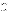#### **A7 QUALITY OBJECTIVES**

This verification test will evaluate the performance of analyzers for determining  $H_2S$  in ambient air at a swine finishing farm. This evaluation will include a comparison of the analyzer results to the results of two reference methods for  $H_2S$ . The quality of the reference measurements will be monitored by inclusion of blank samples, performance evaluation (PE) audit samples, and duplicate samples, when applicable. The PE audit samples will be prepared using H2S compressed gas cylinders or permeation devices that are independent of those used for reference method calibration. These samples are meant to independently confirm that the reference measurements are being performed correctly and are producing accurate results. Control limits on the duplicate and  $PE$  samples are given in Section C1. All  $H<sub>2</sub>S$  standards to be used to challenge the H<sub>2</sub>S analyzers and to prepare PE audit samples must meet National Institute of Standards and Technology (NIST) traceability. Commercially available compressed gas standards or permeation devices may be used in this test.

The Battelle Quality Manager or his designate will perform a technical systems audit (TSA) at least once during this verification test. The EPA Quality Manager also may conduct an independent TSA, at her discretion.

#### **A8 SPECIAL TRAINING/CERTIFICATION**

Documentation of training related to technology testing, field testing, data analysis, and reporting is maintained for all Battelle technical staff in training files. Documentation of the expertise and experience of USDA-NSTL and Applied Measurement Science staff in H2S reference method sampling and analysis is similarly available. The Battelle Quality Manager may verify the presence of appropriate training records prior to the start of testing. If Battelle or USDA staff operate and/or maintain an analyzer during the verification test, the analyzer vendor will be required to train those staff prior to the start of testing. Battelle will document this training with a consent form, signed by the vendor, that states which specific Battelle/USDA staff have been trained on their analyzer. Battelle technical staff will have a minimum of a bachelor's degree in science/engineering or have equivalent work experience.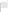The records for this verification test will include the test/QA plan, chain-of-custody (COC) forms, laboratory record books (LRB), data collection forms, electronic files (both raw data and spreadsheets), and the final verification report and verification statement. All of these records will be maintained in the Verification Test Coordinator's office or the test site during the test and will be transferred to permanent storage at Battelle's Records Management Office at the conclusion of the verification test. The location (e.g., specific personal computer, server, or media type and storage location) of final versions of the electronic files will be noted in the test records. All Battelle LRBs are stored indefinitely, either by the Verification Test Coordinator or Battelle's Records Management Office. EPA will be notified before disposal of any files. The documentation and results of the H<sub>2</sub>S reference measurements made by USDA and Applied Measurement Science will be submitted to Battelle immediately upon completion of all sample analyses, review of the H<sub>2</sub>S data, and calculation of ambient  $H_2S$  concentrations, preferably on a daily basis. Section B10 further details the data recording practices and responsibilities.

All written records must be in ink. Any corrections to notebook entries, or changes in recorded data, must be made with a single line through the original entry. The correction is then to be entered, initialed, and dated by the person making the correction. In all cases, strict confidentiality of data from each vendor's analyzer, and strict separation of data from different analyzers, will be maintained. Separate files (including manual records, printouts, and/or electronic data files) will be kept for each analyzer.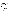#### **SECTION B**

### **MEASUREMENT AND DATA ACQUISITION**

#### **B1 EXPERIMENTAL DESIGN**

This test will specifically address verification of analyzers for ambient  $H<sub>2</sub>S$  under the conditions of a swine finishing farm by evaluating the accuracy, bias, linearity, and selectivity of H2S measurements made by each analyzer in ambient air and/or synthetic gas mixtures, their response to rapid changes in H<sub>2</sub>S concentration, the extent of baseline and calibration drift, and the ability of the analyzers to perform continuous monitoring with minimal intervention. The precision of the analyzer measurement data while sampling synthetic  $H_2S$  gas mixtures will also be determined. Specifically, the H<sub>2</sub>S analyzers will be evaluated for the performance parameters summarized in Table 3 and discussed in detail in the following section.

|  |  |  | <b>Table 3. Verification Test Performance Parameters</b> |  |
|--|--|--|----------------------------------------------------------|--|
|--|--|--|----------------------------------------------------------|--|

| Performance<br><b>Parameter</b> | <b>Method of Evaluation</b>                                                                                                            |  |  |  |
|---------------------------------|----------------------------------------------------------------------------------------------------------------------------------------|--|--|--|
| Accuracy                        | Analyzer response to H <sub>2</sub> S standards compared to nominal concentrations                                                     |  |  |  |
| <b>Bias</b>                     | Analyzer response to H <sub>2</sub> S standards compared to nominal concentrations                                                     |  |  |  |
| Precision                       | Percent relative standard deviation (%RSD) of repeated analysis H <sub>2</sub> S standards<br>with the same concentration              |  |  |  |
| Linearity                       | Analyzer response to H <sub>2</sub> S standards compared to nominal concentrations                                                     |  |  |  |
| Span and Zero Drift             | Stability of analyzer response to zero air and $H_2S$ gas standard over time                                                           |  |  |  |
| Response Time                   | Time required to reach 95% of response to $H_2S$ gas standards                                                                         |  |  |  |
| <b>Interference Effects</b>     | Analyzer response to non-H <sub>2</sub> S sulfur-containing compounds, butyric acid, and<br>ammonia compared to nominal concentrations |  |  |  |
| Comparability                   | Analyzer response to ambient air compared to results of two reference methods                                                          |  |  |  |
| Data Completeness               | Percentage of maximum data return over field period                                                                                    |  |  |  |
| <b>Operational Factors</b>      | Operator observations, records of needed and performed maintenance, vendor<br>activities, use of expendable supplies                   |  |  |  |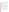In addition to the testing activities specified in this test/QA plan, Battelle and/or USDA staff will perform regular maintenance and other routine procedures requested by the vendor for their analyzer. This information will be summarized by the vendor in a "daily checklist" that will include specific instructions and frequency for each regular maintenance activity or routine procedure, any diagnostic values that should be recorded and typical or acceptable ranges for those values, vendor contact information, and a space for Battelle and/or USDA staff to sign and date the form daily upon completion of the items on the checklist.

#### **B1.1 Test Procedures**

The following sections describe the test procedures that will be used to evaluate each of the H2S analyzer performance parameters listed in Table 3. Procedures will be conducted on each analyzer separately unless a common manifold is used to deliver challenge gases and sample ambient air. If a manifold is used, testing activities will be performed on the H<sub>2</sub>S analyzers simultaneously. The manifold will be constructed of a bored-out 2.5 inch (in) innerdiameter Teflon cylinder that is 10 inches length. The manifold has 3/8 in inlet and outlet fittings, and four  $1/4$  in male connectors (at the same position along the length) to which the  $H<sub>2</sub>S$ analyzers can be connected. A pump will be installed at the outlet port and configured to draw a flow through the manifold that is in excess of that required by the H<sub>2</sub>S analyzers [approximately 3 liters per minute (Lpm)].

The electronic analyzer responses will be recorded continuously throughout the verification test and used for all analyses. Each gas standard will be delivered for a minimum of 20 minutes to allow for stabilization of the analyzer response. Gas standards will be prepared from the dilution of higher concentration (i.e., 2-500 part per million) standard cylinders in zero air using a calibrated dilution system with heated internal components. Gas standards will be supplied in excess of the analyzer sample flow rate; the excess flow will be vented outside the trailer to ambient pressure.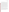#### *B1.1.1 Accuracy, Bias, Precision, and Linearity*

Twice during the verification test, the analyzers will be challenged with compressed  $H_2S$ gas standards diluted in zero air to achieve measurements over a range of concentrations from approximately 0 to 100 ppb (or the upper range of measurement of the analyzer being tested, whichever is lower). If the ambient  $H<sub>2</sub>S$  concentrations are found to be significantly larger than 100 ppb, additional  $H_2S$  gas dilutions may be tested to reflect the actual range, if possible.

Three non-consecutive measurements will be recorded at each of five different nominal concentration levels. Each concentration will be supplied to the analyzer(s) for at least twenty minutes. A programmable dilution system may be used to automatically supply the diluted gas standards to the H<sub>2</sub>S analyzer(s) at fixed time intervals. Table 4 shows the nominal  $H_2S$ concentration values to be supplied to the analyzers being tested, and the order in which the concentrations will be supplied, for conditions where the maximum  $H_2S$  level encountered at the site is  $\sim$ 100 ppb. If H<sub>2</sub>S concentrations greater than 200 ppb are encountered, the H<sub>2</sub>S challenge gas concentrations may be modified upwards (e.g., to 0, 20, 60, 100, and 200 ppb) to more accurately reflect the range of ambient  $H_2S$  levels. As Table 4 indicates, the  $H_2S$  concentrations will first be supplied to the analyzers in increasing order, then in random order, and finally in decreasing order. After the last measurement has been recorded, the analyzer will be returned to sampling of ambient air.

The analyzer response to the series of  $H_2S$  gas standards will be used to evaluate accuracy, bias, precision, and linearity. Section B1.2 presents the statistical procedures that will be used. Accuracy will be calculated at each concentration and for each replicate relative to the nominal H<sub>2</sub>S concentration. Bias will be calculated for each series of multi-point H<sub>2</sub>S challenges. The analyzer precision will be demonstrated by the reproducibility of the analyzer response at each nominal H<sub>2</sub>S concentration after a stable reading is achieved. Linearity will be assessed by establishing a multi-point calibration curve from the analyzer response.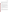| Concentration                       | $0$ ppb | $10$ ppb | $30$ ppb | $50$ ppb | $100$ ppb |  |
|-------------------------------------|---------|----------|----------|----------|-----------|--|
|                                     |         |          |          |          |           |  |
| <b>Measurement</b><br><b>Number</b> |         | 10       |          |          |           |  |
|                                     | 15      | 14       |          |          |           |  |

Table 4. Approximate H<sub>2</sub>S Concentrations and Order for Multi-point Challenges

#### *B1.1.2 Span and Zero Drift*

The "baseline" response of each analyzer to zero air and a 30 ppb dilution of a compressed H2S gas standard will be determined during the first week of testing. Each analyzer will be alternately challenged with the diluted  $H_2S$  gas standard and zero air, for a total of five replicates of both the gas standard and zero air. Each gas will be supplied sequentially to the analyzer for at least twenty minutes. The switch between zero air and the H<sub>2</sub>S standard will be made as quickly as possible if conducted manually; a programmable dilution system will be used if available. The mean and standard deviation of the analyzer response to zero air and to the 30 ppb H2S standard will be calculated from the five replicates.

Twice each week (preferably Monday and Friday) during the verification test, zero air and a 30 ppb H<sub>2</sub>S standard will again be supplied to each of the analyzers being tested for twenty minutes each for a total of nine zero/span checks. Each response will be compared to baseline response to determine whether or not drift has occurred in the analyzer response to zero air or the 30 ppb H2S standard.

#### *B1.1.3 Response Time*

The data collected for the zero/span check (Section B1.1.2) will also be used to determine the analyzer response time. The 95% rise time will be calculated for changes from zero air to the 30 ppb H2S standard and the fall time will be calculated for changes from the 30 ppb standard to zero air. A minimum of three individual measurements will be used to determine the average rise and fall times.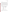#### *B1.1.4 Interference effects*

The analyzers being tested will be challenged with a series of gases (interferants, see Table 5) that may be present at an AFO and could interfere with the analyzer response to  $H_2S$ . Each interferant will be supplied at approximately 100 ppb in the presence and absence of 100 ppb  $H_2S$ . A 100 ppb  $H_2S$  standard will be supplied to the analyzers for at least twenty minutes and the responses will be recorded. The analyzer will then be flushed with zero air for at least two minutes. The first interferant will be diluted with zero air and delivered to the analyzers for at least twenty minutes. The analyzer responses will be recorded and each analyzer flushed for at least two minutes with zero air. A mixture of the first interferant with 100 ppb  $H_2S$  in zero air will then be supplied to each analyzer for at least twenty minutes. The analyzer responses will be recorded, and zero air will be supplied to each analyzer for approximately two minutes. This process will be repeated for each of the interferants. The interferant challenges need not all be completed in a single day.

| <b>Interferant</b> | Approximate<br><b>Concentration</b> (ppb) |
|--------------------|-------------------------------------------|
| Sulfur dioxide     | 100                                       |
| Carbonyl sulfide   | 100                                       |
| Carbon disulfide   | 100                                       |
| Methyl mercaptan   | 100                                       |
| Dimethyl sulfide   | 100                                       |
| Hydrocarbon blend  | 500                                       |
| Ammonia            | 500                                       |

**Table 5. Interferants and Approximate Concentrations for Interference Checks** 

#### *B1.1.5 Comparability*

The comparability of the  $H_2S$  analyzer response to ambient air will be evaluated by comparing the analyzer response to two H2S reference methods, which will be carried out by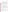USDA and Applied Measurement Science. Both methods follow ASTM International Method D5504-01<sup>1</sup> for the determination of sulfur compounds using GC, but will use PFPD instead of SCD. Although the analytical approach of both methods is the same, the two methods differ in sample handling. The two reference methods will be compared to one another by calculating the relative percent difference (RPD) (the difference between the two reference method values divided by the average). This comparison will assess whether the different sample collection techniques produce differences in the measured  $H_2S$  concentrations. Details of the reference sample collection procedure and laboratory method are provided in sections B2 and B4, respectively. The QA procedures for the reference methods are described in section B5.

#### B1.1.1.5a Time-integrated Comparability

The USDA reference method will utilize time-integrated air samples that will be collected in Silonite canisters and taken to the USDA laboratory for analysis. Samples will be collected over two eight-hour intervals on each sampling day. Sampling is expected to be conducted on approximately the following schedule: 10:00 p.m. to 6:00 a.m. and 6:00 a.m. to 2:00 p.m. The sampling times have been selected to accommodate the schedule of the USDA analysis laboratory. Time-integrated reference measurements will be conducted on a total of ten days during the field period. The samples may be collected twice per week or some samples may be rescheduled to collect more frequently during the in-situ H<sub>2</sub>S reference method measurement period. The results of a minimum of 15 time-integrated reference method measurements will be compared to the time-averaged analyzer responses over the same time periods to give the timeintegrated comparability of  $H_2S$  analyzers.

#### B1.1.1.5b In-situ Comparability

The in-situ H<sub>2</sub>S reference method will be conducted by Applied Measurement Science. The instrumentation for the in-situ method will be installed in the instrument trailer at the test site. Discrete air samples will be drawn from the same location outside of the trailer, or preferably from the common sampling manifold, over a relatively short time period. Volatile compounds in the samples will be cryotrapped, thermally desorbed, and injected directly onto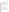the GC-PFPD system. To the extent possible, the duration of sample collection will be coordinated with the sampling frequency of the H<sub>2</sub>S analyzers being tested (approximately two to 30 minutes). In-situ reference measurements will be conducted for approximately 8 hours per day for ten days during the second and third weeks of the verification test. This in-situ system decreases the chance for H2S loss due to sample handling, but does require a more complex air handling system to automate the sample collection and injection. The results of a minimum of 60 in-situ H2S reference method measurements will be compared to the analyzer responses to ambient air recorded at the same time. If the measurement frequency of the in-situ H<sub>2</sub>S reference method and the H<sub>2</sub>S analyzer being tested do not match in time within  $\pm$  two minutes, each data set will be averaged to common time intervals (e.g., hourly averages).

#### *B1.1.6 Data Completeness*

No additional test procedures will be carried out specifically to address data completeness. This parameter will be assessed based on the overall data return achieved by each analyzer.

#### *B1.1.7 Operational Factors*

Operational factors such as maintenance needs, data output, consumables used, ease of use, repair requirements, etc., will be evaluated based on observations recorded by Battelle and USDA staff. A separate LRB will be maintained at the test site for each analyzer undergoing testing, and will be used to enter daily observations on these factors. Examples of information to be recorded in the record books include the daily status of diagnostic indicators for the analyzer; use or replacement of any consumables; the effort or cost associated with maintenance or repair; vendor effort (e.g., time on site) for repair or maintenance; the duration and causes of any analyzer down time or data acquisition failure; and operator observations about ease of use of the analyzer. These observations will be summarized to aid in describing analyzer performance in the verification report on each analyzer.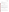#### **B1.2 Statistical Analysis**

The statistical methods and calculations used for evaluation of the quantitative performance parameters are described in the following sections.

#### *B1.2.1 Accuracy*

Accuracy of the  $H_2S$  analyzers with respect to the individual  $H_2S$  gas standards will be assessed as the percent recovery  $(\%R)$ , using Equation 1:

$$
\%R = \left[1 + \left(\frac{Y - X}{X}\right)\right] \times 100\tag{1}
$$

where Y is the average measured  $H_2S$  analyzer value and X is the nominal  $H_2S$  gas standard concentration. The average, minimum, and maximum %R values will be reported for each series of multi-level  $H_2S$  challenges.

#### *B1.2.2 Bias*

Bias of the H<sub>2</sub>S analyzers is defined as a systematic error in measurement that results in measured error that is consistently positive or negative compared to the true value. The bias will be calculated as the average percent difference  $(\%D)$  of the H<sub>2</sub>S analyzer compared to the nominal  $H_2S$  gas standard concentration and will be calculated for each series of multi-point  $H_2S$ challenges, using Equation 2:

$$
\%D = \frac{1}{k} \sum_{j=1}^{k} \left(\frac{Y - X}{X}\right)_j \times 100
$$
 (2)

where  $k$  is the number of valid comparisons, and Y and X are the same as stated in B1.2.1.

#### *B1.2.3 Precision*

The precision of the  $H_2S$  analyzers will be evaluated from the triplicate responses to each H2S gas standard supplied during the multi-point challenges (outlined in Table 4). The precision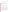will be defined as the percent relative standard deviation (%RSD) of the triplicate measurements and calculated for each  $H_2S$  concentration listed in Table 4, using Equation 3:

$$
\%RSD_i = \frac{s}{\overline{Y}_i} \times 100\tag{3}
$$

where  $\overline{Y}$  is the average analyzer response at H<sub>2</sub>S concentration *i*, and s the standard deviation of the analyzer responses at that concentration. The overall average %RSD will also be calculated for each series of multi-point  $H_2S$  challenges and will include the %RSD for all  $H_2S$ concentrations tested.

#### *B1.2.4 Linearity*

Linearity will be assessed by a linear regression analysis using the diluted  $H<sub>2</sub>S$  standard gas concentrations as the independent variable and results from the H<sub>2</sub>S analyzers being tested as the dependent variable. Linearity will be expressed in terms of slope, intercept, and coefficient of determination  $(r^2)$ .

#### *B1.2.5 Span and Zero Drift*

The "baseline" response of the  $H_2S$  analyzers to zero air and the 30 ppb  $H_2S$  standard will be established on the first day of testing, as outlined in Section B1.1.2. The mean  $(\overline{Y})$  and standard deviation (s) of the analyzer response to zero air and 30 ppb H<sub>2</sub>S will each be calculated from the five replicate measurements conducted on the first day of testing. From these values, a control chart will be constructed and the  $\overline{Y} \pm 2s$  "warning limit" and the  $\overline{Y} \pm 3s$  "action limit" calculated. Span drift will be defined as having occurred if three consecutive span checks all fall either above or below the warning limit. Zero drift will also be defined as having occurred if three consecutive zero checks all fall either above or below the warning limit. However, if the mean and/or standard deviation from the baseline zero check are equal to zero, the warning limits may not be meaningful. In this case, the absolute differences to the zero air baseline mean will be reported for each zero check.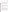#### *B1.2.6 Response Time*

Response time will be assessed in terms of both the rise and fall times of each  $H_2S$ analyzer when sampling the 30 ppb  $H_2S$  gas standard and zero air on the first day of testing (Section B1.1.2). Rise time (i.e.,  $0\%$  - 95% response time for the change in H<sub>2</sub>S concentration) will be determined from the analyzer response to a rapid increase in the delivered H<sub>2</sub>S concentration. Once a stable response is achieved with the  $H_2S$  standard, the fall time (i.e., the 100% to 5% response time) will be determined in a similar way, switching from the  $H_2S$ standard back to zero air.

#### *B1.2.7 Interference Effects*

The interference effects of the H<sub>2</sub>S analyzers will be calculated in terms of the ratio of the response of the analyzer to the interferant relative to the actual concentration of the interfering species. For example, if 100 ppb of an interfering species results in a 1 ppb change in the response of the analyzer, the interference effect will be reported as 1% (i.e., 1 ppb/100 ppb). Interference effects will be reported separately for each interferant both in the absence and in the presence of  $H_2S$  in zero air.

#### *B1.2.8 Comparability*

Comparability between the H<sub>2</sub>S analyzer results and the reference method results will be assessed by linear regression using the reference method H<sub>2</sub>S concentrations as the independent variable and results from the H<sub>2</sub>S analyzers being tested as the dependent variable. Linearity will be expressed in terms of slope, intercept, and  $r^2$ , and will be calculated independently for the time-integrated  $H_2S$  reference method and the in-situ  $H_2S$  reference method. It is expected that the measured concentration of  $H_2S$  will vary by at least a factor of five during each phase of testing. However, if this magnitude of variation is not achieved for one or both of the reference methods, comparability for that method will be calculated using Equation 1 and Equation 2 and reported as a percent recovery and bias, rather than in terms of the linear regression results.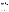#### *B1.2.9 Data Completeness*

Data completeness will be calculated as the percentage of the total possible data return over the entire field period that is achieved by each analyzer. This calculation will use the total hours of data recorded from each analyzer, divided by the total hours of data in the entire field period. The field period is defined to begin at 8:00 a.m. on the first day of testing and to end at the completion of the last testing activity or 5:00 p.m. on the final day of the field period, whichever is later. No distinction will be made in this calculation between data recorded during a specific test activity (e.g., data recorded for comparison to  $H<sub>2</sub>S$  reference method data) and that recorded during routine ambient air monitoring. The causes of any substantial incompleteness of data return will be established from operator observations or vendor records, and noted in the discussion of data completeness results.

#### **B1.3 Reporting**

The statistical comparisons described above will be conducted separately for each of the analyzers being tested, and information on the operational parameters will be compiled and reported. The data for each analyzer will be kept separate from data for all other analyzers, and no intercomparison of the analyzer data will be performed at any time. A separate verification report will be prepared for each analyzer tested, presenting the test procedures and test data, as well as the results of the statistical evaluation of those data.

Operational aspects of the analyzers will be recorded by testing staff at the time of observation during the field test, and summarized in the verification report. For example, descriptions of the data-acquisition procedures, use of vendor-supplied proprietary software, consumables used, repairs and maintenance needed, and the nature of any problems will be presented in the report. Each verification report will briefly describe the ETV program, the AMS Center, and the procedures used in verification testing. The results of the verification test will be stated quantitatively, without comparison to any other analyzer tested, or comment on the acceptability of the analyzer's performance. Each draft verification report will first be subjected to review by the respective analyzer vendor, then revised and subjected to a review by EPA and other peer reviewers. The peer review comments will be addressed in further revisions of the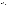report, and the peer review comments and responses will be tabulated to document the peer review process. The reporting and review process will be conducted according to the requirements of the AMS Center QMP.2

#### **B2 REFERENCE SAMPLE COLLECTION**

#### **B2.1 Time-integrated H<sub>2</sub>S Reference Method**

The time-integrated reference method will utilize air samples that will be collected in evacuated 1.4 L Silonite Canisters (Entech Instruments, Inc.), which will be transported from the field site to the USDA laboratory for analysis. A restrictive sampler will be used to control the fill rate over 8 hours and maintain sub-ambient pressure in the canister at the completion of sampling (i.e., fill to  $\sim 80\%$  capacity). Under sub-ambient pressure, H<sub>2</sub>S scavenging by water vapor has been shown to be negligible in canisters with Silcosteel®-treated surfaces at 50% relative humidity for at least 48 hours.<sup>8</sup> All components that contact ambient air samples will be Teflon or passivated metal (e.g., Silcosteel® or Silonite) to minimize scavenging of  $H_2S$  by bare metal or other surfaces. In accordance with ASTM Method D5504-01<sup>1</sup>, canister samples will be analyzed by GC-PFPD within 24 hours.

As indicated in ASTM Method D5504-01,<sup>1</sup> it has been demonstrated that  $H_2S$  in passivated canisters does not degrade over 24 hours; therefore, detailed holding time tests are not necessary. However, the acceptability of this holding time will be verified by analyzing an ambient air sample several times over the period (at least 24 hours) following sample collection. The H2S concentration at 24 hours following sample collection should be within 15% of the initial measured value. Holding time verifications will be performed at least once before the start of the verification test and again mid-way through the test.

#### **B2.2 In-situ H<sub>2</sub>S Reference Method**

Reference samples need not be collected for the in-situ H<sub>2</sub>S reference method, since this approach relies on direct cryotrapping of volatile components from a small sample air flow over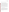a relatively short time period, followed immediately by thermal desorption and GC-PFPD analysis.

#### **B3 SAMPLE HANDLING AND CUSTODY REQUIREMENTS**

All reference samples will be entirely in the custody of USDA or Battelle from sample collection through sample recovery, transport, and analysis. Samples will be carried by USDA or Battelle staff to the USDA laboratory for analysis. Sample custody will be documented throughout installation of the canisters at the field site, ambient air collection, recovery of the sample canisters, transport, and analysis of the reference samples, using standard forms used by USDA for this purpose or forms provided by Battelle. Each COC form will be signed by the person relinquishing samples once that person has verified that the COC form is accurate. Upon receipt at the laboratory, COC forms will be signed by the person receiving the samples once that person has verified that all samples identified on the COC forms are present. Any discrepancies will be noted on the form and the sample receiver will immediately contact the USDA sampling leader to report missing or compromised samples. Copies of all COC forms will be delivered to the Verification Test Coordinator upon request, and maintained with the test records.

#### **B4 LABORATORY REFERENCE METHODS**

Although the ASTM  $H_2S$  reference method<sup>1</sup> is primarily for determination of sulfur compounds in natural gas and gaseous fuels, it has successfully been applied to H2S detection in ambient air. Both of the reference methods described in this test/QA plan follow the ASTM method<sup>1</sup> and adhere to the general measurement principle of  $H_2S$  determination by GC with sulfur chemiluminescence or other detection technique. In both methods, a cryofocus interface and thermal desorption will be utilized to deliver the ambient air sample to the GC for separation. Instead of SCD, PFPD will be used to detect  $H_2S$ . QA procedures for both reference methods are described in section B5.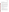#### **B4.1 Time-integrated H<sub>2</sub>S Reference Method**

The time-integrated H<sub>2</sub>S reference method will use an Agilent 5890 GC equipped with a PFPD from OI Analytical. The inlet device will be a Model 7100A Preconcentrator (Entech) that utilizes cryofocusing and thermal desorption to transfer the sample to the head of the column. The column is a GS-Gaspro, 60 meter (m)  $\times$  0.32 millimeter (mm) inner diameter (i.d.) capillary column  $(J & W)$ .

A multi-point calibration curve for H<sub>2</sub>S will be constructed before reference analyses are conducted using dilute standards prepared from NIST-traceable certified H<sub>2</sub>S compressed gas standards (Scott Specialty Gases). Several gas concentrations will be prepared using a dynamic dilution system (Environics), transferred into Silonite canisters, and analyzed in the same manner as the reference samples. In addition to H<sub>2</sub>S, chromatograms will include retention time data for sulfur dioxide, methyl mercaptan, dimethyl sulfide, carbonyl sulfide, and carbon disulfide, if present at sufficient concentration.

All analyses of reference and QA/QC samples will be conducted by USDA staff. USDA is responsible for providing the analytical instrumentation, calibrating that instrumentation, performing method QA/QC (see Section B5), and maintaining calibration records for any instrumentation used. USDA will be required to provide Battelle with documentation on calibration and quality control of the reference analyses.

#### **B4.2 In-situ H<sub>2</sub>S Reference Method**

The in-situ H<sub>2</sub>S reference method will use a Varian 3800 GC with PFPD. The inlet system contains an internal valving system that allows for automated operation. The column is a GS-Gaspro, 30 m  $\times$  0.32 mm i.d. capillary column (J & W).

A multi-point calibration curve for  $H<sub>2</sub>S$  will be constructed at the test site before reference method measurements will be conducted, using dilute standards prepared from NISTtraceable certified  $H_2S$  compressed gas standards or certified permeation tubes and sampled in the same way as ambient air. In addition to  $H_2S$ , several sulfur-containing species, including,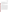sulfur dioxide, methyl mercaptan, dimethyl sulfide, carbonyl sulfide, and carbon disulfide, will also be quantified if present at sufficient concentration.

All analyses of reference and QA/QC samples for the in-situ reference method will be conducted by Applied Measurement Science staff. Applied Measurement Science is responsible for providing the analytical instrumentation, calibrating that instrumentation, performing method QA/QC (see Section B5), and maintaining calibration records for any instrumentation used. Applied Measurement Science will be required to provide Battelle with documentation on calibration and quality control of the reference analyses.

#### **B5 QUALITY CONTROL**

Steps will be taken to maintain the quality of the data collected during this verification test. Table 6 summarizes the quality control requirements for the reference methods during this test**.** Although these requirements differ from the suggested QA procedures outlined in ASTM method D5504-01,<sup>1</sup> they are more appropriate for the detection of ambient  $H_2S$  at ppb levels (versus ppm levels) in an ambient air matrix. Both reference methods will be required to analyze continuing calibration verifications (CCV), quality control samples (QCS), and field blanks. The time-integrated H<sub>2</sub>S reference method will also be required to repeat analyses of 10% of the samples to verify the method precision. The reference analytical procedure will be maintained to meet these requirements. If the analytical performance is outside of the required tolerances, the relevant QC samples will be prepared again and reanalyzed. If performance problems persist, the reference instrument(s) will be recalibrated, and/or affected samples will be reanalyzed. Reference sample results not meeting these requirements will be excluded from comparison to the H2S analyzer results. A minimum of 15 time-integrated reference measurements and 60 insitu reference measurements that meet these QC requirements must be collected for use in the comparability comparisons, as stated in sections B1.1.1.5a and B1.1.1.5b, respectively.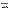| <b>QC</b> Parameter           | <b>Addressed By</b>                                                                                                                                                     | <b>Required Performance</b>                                          |
|-------------------------------|-------------------------------------------------------------------------------------------------------------------------------------------------------------------------|----------------------------------------------------------------------|
| <b>CCV</b>                    | CCV run before analysis of reference<br>samples each day                                                                                                                | %D of CCV result within 30%<br>compared to expected value            |
| <b>QCS</b>                    | QCS run every 4 hours and after analysis<br>of reference samples each day                                                                                               | %D of QCS result within 30%<br>compared to expected value            |
| Replicate $H_2S$<br>precision | Analyze 10% of all samples twice <sup>(a)</sup>                                                                                                                         | Results within 30% of one<br>another                                 |
| Measurement<br>accuracy       | Analyze H <sub>2</sub> S standard from independent<br>source <sup>(b)</sup>                                                                                             | Results within 30% of expected<br>value                              |
| Field blanks                  | Analyze canisters filled with zero air<br>recovered from the field site (weekly) $^{(a)}$<br>Analyze zero air passed through sample<br>manifold (weekly) <sup>(c)</sup> | If blank $>30\%$ of sample H <sub>2</sub> S,<br>data must be flagged |

#### **Table 6. Reference Method Quality Control Requirements and Target Acceptance Criteria**

 $^{(a)}$  Time-integrated H<sub>2</sub>S reference method only.

 $^{(b)}$  This standard will be provided as part of the Performance Evaluation audit (Section C.1.1).

 $^{(c)}$  In-situ H<sub>2</sub>S reference method only.

#### **B6 INSTRUMENT/EQUIPMENT TESTING, INSPECTION, AND MAINTENANCE**

The equipment used for the reference sampling and analysis will be tested, inspected, and maintained as per the standard operating procedures of USDA and Applied Measurement Science, so as to meet the performance requirements established in this document. When Battelle or USDA staff operate and maintain the H<sub>2</sub>S analyzers undergoing testing, those activities will be done as directed by the vendor. Otherwise, operation and maintenance of the analyzers will be the responsibility of the analyzer vendors.

#### **B7 INSTRUMENT CALIBRATION AND FREQUENCY**

The instrumentation used for the reference  $H_2S$  analyses will be calibrated daily on days when reference samples will be analyzed. The calibration of other instrumentation used in this verification test, such as dilution systems and flow readers, will be verified immediately prior to use in this verification test. A minimum of three flow rates for each flow controller or flow reader will be verified with an independent factory-calibrated flow meter.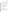The H<sub>2</sub>S analyzers undergoing testing will be calibrated initially by the respective analyzer vendors at the time of installation at the test site using H<sub>2</sub>S gas standards independent of those used for testing activities. Calibration checks will be performed upon direction by the analyzer vendor. In the event that recalibration is necessary, that recalibration will be carried out by the analyzer vendor, or by Battelle staff under the direction of the vendor. All calibrations performed will be documented by Battelle or USDA staff in the project record book dedicated to the respective analyzer.

#### **B8 INSPECTION/ACCEPTANCE OF SUPPLIES AND CONSUMABLES**

All materials, supplies, and consumables will be ordered by the Verification Test Coordinator or designee. Where possible, Battelle will rely on sources of materials and consumables that have been used previously as part of ETV verification testing without problems. Battelle will also rely on previous experience or recommendations from peer reviewers, EPA advisors, USDA staff, Applied Measurement Science, or analyzer vendors. Hydrogen sulfide gas standards will have NIST-traceable certifications.

#### **B9 NON-DIRECT MEASUREMENTS**

Data published previously in the scientific literature will not be used during this verification test.

#### **B10 DATA MANAGEMENT**

Various types of data will be acquired and recorded electronically or manually by Battelle, vendor, USDA, and Applied Measurement Science staff during this verification test. Table 7 summarizes the types of data to be recorded. All maintenance activities, repairs, calibrations, and operator observations relevant to the operation of the  $H<sub>2</sub>S$  analyzers will be documented by Battelle or USDA staff in LRBs. A separate record book will be provided for each participating analyzer. Results from the reference methods, including raw data, analysis,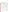and final results, will be compiled by USDA and Applied Measurement Science staff in electronic format, and submitted to Battelle at the conclusion of reference  $H_2S$  analyses.

| Data to Be<br><b>Recorded</b>                                                                                 | <b>Where Recorded</b>                                                                                   | <b>How Often</b><br><b>Recorded</b>                                                                             | <b>By Whom</b>                                                                                                 | <b>Disposition of</b><br>Data                                                                                                   |  |
|---------------------------------------------------------------------------------------------------------------|---------------------------------------------------------------------------------------------------------|-----------------------------------------------------------------------------------------------------------------|----------------------------------------------------------------------------------------------------------------|---------------------------------------------------------------------------------------------------------------------------------|--|
| Dates, times, and<br>details of test<br>events, analyzer<br>maintenance,<br>down time, etc.                   | <b>ETV LRBs</b> or<br>data recording<br>forms                                                           | Start/end of test<br>procedure, and at<br>each change of a<br>test parameter or<br>change of<br>analyzer status | Battelle if on-site;<br><b>USDA</b> if Battelle<br>not on-site                                                 | Used to organize<br>and check test<br>results; manually<br>incorporated in<br>data spreadsheets<br>as necessary                 |  |
| Analyzer<br>calibration<br>information                                                                        | <b>ETV LRBs</b> or<br>electronically                                                                    | At analyzer<br>calibration or<br>recalibration                                                                  | Electronic data by<br>Vendor; Battelle<br>if on-site; USDA<br>if Battelle not on-<br>site                      | Incorporated in<br>verification report<br>as necessary                                                                          |  |
| Analyzer H <sub>2</sub> S<br>readings                                                                         | Recorded<br>electronically by<br>each analyzer and<br>then downloaded<br>to computer at<br>least weekly | Recorded<br>continuously                                                                                        | Analyzer vendor,<br>for transfer to<br>Battelle if on-site;<br>transfer to USDA<br>if Battelle not on-<br>site | Converted to<br>spreadsheet for<br>statistical analysis<br>and comparisons                                                      |  |
| Reference sample<br>collection<br>procedures,<br>reference method<br>procedures,<br>calibrations, QA,<br>etc. | LRBs, or data<br>recording forms                                                                        | Throughout<br>sampling and<br>analysis processes                                                                | <b>USDA</b> and<br>Applied<br>Measurement<br>Science                                                           | Retained as<br>documentation of<br>reference method<br>performance                                                              |  |
| Reference method<br>$H2S$ analysis<br>results                                                                 | Electronically<br>from $H_2S$<br>analytical method                                                      | Every sample<br>analysis                                                                                        | <b>USDA</b> and<br>Applied<br>Measurement<br>Science                                                           | Converted to<br>spreadsheets for<br>calculation of<br>ambient $H_2S$<br>results, and<br>statistical analysis<br>and comparisons |  |

**Table 7. Summary of Data Recording Process** 

Records received by or generated by any Battelle or USDA staff during the verification test will be reviewed by a Battelle staff member within two weeks of generation or receipt,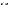respectively, before the records are used to calculate, evaluate, or report verification results. If a Battelle staff member generated the record, this review will be performed by a Battelle technical staff member involved in the verification test, but not the staff member who originally generated the record. The review will be documented by the person performing the review by adding his/her initials and date to the hard copy of the record being reviewed. In addition, any calculations performed by Battelle or USDA staff will be spot-checked by Battelle technical staff to ensure that calculations are performed correctly. Calculations to be checked include any statistical calculations described in this test/QA plan. The data obtained from this verification test will be compiled and reported independently for each  $H<sub>2</sub>S$  analyzer. Results for analyzers from different vendors will not be compared with each other.

Among the QA activities conducted by Battelle QA staff will be an audit of data quality. This audit will consist of a review by the Battelle Quality Manager of at least 10% of the test data. During the course of any such audit, the Battelle Quality Manager will inform the technical staff of any findings and any immediate corrective action that will be taken. If serious data quality problems exist, the Battelle Quality Manager will request that Battelle's AMS Center Manager issue a stop work order. Once the assessment report has been prepared, the Verification Test Coordinator will ensure that a response is provided for each adverse finding or potential problem, and will implement any necessary follow-up corrective action. The Battelle Quality Manager will ensure that follow-up corrective action has been taken.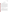#### **SECTION C**

#### **ASSESSMENT AND OVERSIGHT**

#### **C1 ASSESSMENTS AND RESPONSE ACTIONS**

Every effort will be made in this verification test to anticipate and resolve potential problems before the quality of performance is compromised. One of the major objectives of this test/QA plan is to establish mechanisms necessary to ensure this. Internal quality control measures described in this test/QA plan, which is peer reviewed by a panel of outside experts, implemented by the technical staff and monitored by the Verification Test Coordinator, will give information on data quality on a day-to-day basis. The responsibility for interpreting the results of these checks and resolving any potential problems resides with the Verification Test Coordinator. Technical staff have the responsibility to identify problems that could affect data quality or the ability to use the data. Any problems that are identified will be reported to the Verification Test Coordinator, who will work to resolve any issues. Action will be taken to control the problem, identify a solution to the problem, and minimize losses and correct data, where possible. Independent of any EPA QA activities, Battelle will be responsible for ensuring that the following audits are conducted as part of this verification test.

#### **C1.1 Performance Evaluation Audits**

A Performance Evaluation (PE) audit will be conducted to assess the quality of the  $H_2S$ reference method measurements made in this verification test. In the PE audit, key aspects of the reference measurement will be checked by comparison with an independent instrument, or an independent NIST-traceable standard. The PE audit of the H<sub>2</sub>S reference methods will be performed by supplying to each reference method a blind, independent, NIST-traceable H<sub>2</sub>S standard provided by Battelle. The PE samples will be analyzed in the same manner as for all other ambient air samples, and the analytical results for the PE samples will be compared to the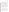Ambient Hydrogen Sulfide Analyzers Test/QA Plan Page 42 of 46 Version 1.0 April 12, 2005

nominal concentration. The target criterion for this PE audit is agreement of the analytical result within 30% of the nominal  $H_2S$  concentration. If the PE audit results do not meet the tolerances required, they will be repeated. If the outlying results persist, a change in reference instrument and a repeat of the PE audit may be considered. This audit will be performed once prior to the start of the test and two times during the verification test, and will be the responsibility of the Verification Test Coordinator or her designee. Since the PE audit samples will be sampled by the reference methods in the same way as reference samples, they will assess each component of the reference method, including inertness of metal sampling components, H<sub>2</sub>S stability in the sampling container (if applicable), and analytical accuracy of the GC-PFPD systems.

A PE audit of the ambient air sample flow rate for the time-integrated reference method will be performed by comparing to an independent flow measurement device. The target criterion for this PE audit is agreement within the expected range (i.e., 2 to 3 milliliters per minute). If used in this verification test, a PE audit of the programmable dilution system will be performed by comparing to an independent flow measurement device. One mid-range flow rate will be audited for each flow controller (i.e., 0.03, 0.3, and 5 Lpm) within the dilution system. The target criterion for this PE audit is agreement within 5% of the flow readings. These audits will be performed once during the verification test, and will be the responsibility of the Verification Test Coordinator or her designee.

#### **C1.2 Technical Systems Audits**

The Battelle Quality Manager will perform a technical systems audit (TSA) at least once during this verification test. The purpose of this audit is to ensure that the verification test is being performed in accordance with the AMS Center QMP<sup>2</sup>, this test/QA plan, published reference methods, and any Standard Operating Procedures (SOPs) used by USDA or Applied Measurement Science. In the TSA, the Battelle Quality Manager, or a designee, may review the reference methods used, compare actual test procedures to those specified or referenced in this plan, and review data acquisition and handling procedures. In the TSA, the Battelle Quality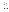manager will tour the test site, observe the H<sub>2</sub>S reference method sampling and sample recovery, inspect documentation of H<sub>2</sub>S sample chain of custody; and review analyzer-specific record books. He will also check gas standard certifications and analyzer data acquisition procedures, and may confer with the analyzer vendors, USDA, and Applied Measurement Science personnel. He may also visit the USDA laboratories where the time-integrated  $H<sub>2</sub>S$  reference method analysis is conducted, to review procedures and adherence to this plan and applicable SOP's. A TSA report will be prepared, including a statement of findings and the actions taken to address any adverse findings. The EPA AMS Center Quality Manager will receive a copy of Battelle's TSA report. At EPA's discretion, EPA QA staff may also conduct an independent on-site TSA during the verification test. The TSA findings will be communicated to technical staff at the time of the audit and documented in a TSA report.

#### **C1.3 Data Quality Audits**

The Battelle Quality Manager will audit at least 10% of the verification data acquired in the verification test. The Battelle Quality Manager will trace the data from initial acquisition, through reduction and statistical comparisons, to final reporting. All calculations performed on the data undergoing the audit will be checked.

#### **C1.4 QA/QC Reporting**

Each assessment and audit will be documented in accordance with Section 3.3.4 of the AMS Center QMP.<sup>2</sup> The results of the technical systems audit will be submitted to EPA. Assessment reports will include the following:

- C Identification of any adverse findings or potential problems
- C Response to adverse findings or potential problems
- C Recommendations for resolving problems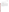- C Confirmation that solutions have been implemented and are effective
- C Citation of any noteworthy practices that may be of use to others.

### **C2 REPORTS TO MANAGEMENT**

The Battelle Quality Manager, during the course of any assessment or audit, will identify to the technical staff performing experimental activities any immediate corrective action that should be taken. If serious quality problems exist, the Battelle Quality Manager is authorized to request that Battelle's AMS Center Manager issue a stop work order. Once the assessment report has been prepared, the Verification Test Coordinator will ensure that a response is provided for each adverse finding or potential problem and will implement any necessary follow-up corrective action. The Battelle Quality Manager will ensure that follow-up corrective action has been taken. The test/QA plan and final report are reviewed by EPA AMS Center QA staff and EPA AMS Center program management staff. Upon final review and approval, both documents will then be posted on the ETV website (www.epa.gov/etv).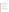#### **SECTION D**

#### **DATA VALIDATION AND USABILITY**

#### **D1 DATA REVIEW, VALIDATION, AND VERIFICATION REQUIREMENTS**

The key data review requirements for the verification test are the analysis of QC samples described in Section B5, a comparison of field data sheet comments against final data to flag any suspect data, and a review of final data to resolve any questions about apparent outliers. The QA audits described within Section C of this document, including the audit of data quality, are designed to assure the quality of the data.

#### **D2 VALIDATION AND VERIFICATION METHODS**

Section C of this test/QA plan provides a description of the validation safeguards employed for this verification test. Data validation and verification efforts include the collection of QC samples as required in this document, and the performance of TSA and PE audits as described in Section C.

#### **D3 RECONCILIATION WITH USER REQUIREMENTS**

This test/QA plan and the resulting ETV verification report(s) will be subjected to review by the H2S analyzer vendors, USDA, Applied Measurement Science, EPA, and external expert peer reviewers. These reviews will assure that this test/QA plan and the resulting report(s) meet the needs of potential users and permitters of H<sub>2</sub>S analyzers. The final report(s) will be submitted to EPA in Word Perfect and Adobe pdf format and subsequently posted on the ETV website.